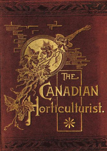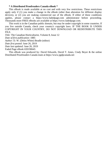#### **\* A Distributed Proofreaders Canada eBook \***

This eBook is made available at no cost and with very few restrictions. These restrictions apply only if (1) you make a change in the eBook (other than alteration for different display devices), or (2) you are making commercial use of the eBook. If either of these conditions applies, please contact a https://www.fadedpage.com administrator before proceeding. Thousands more FREE eBooks are available at https://www.fadedpage.com.

This work is in the Canadian public domain, but may be under copyright in some countries. If you live outside Canada, check your country's copyright laws. IF THE BOOK IS UNDER COPYRIGHT IN YOUR COUNTRY, DO NOT DOWNLOAD OR REDISTRIBUTE THIS FILE.

*Title:* The Canadian Horticulturist, Volume 8, Issue 12

*Date of first publication:* 1885

*Author:* D. W. (Delos White) Beadle (editor)

*Date first posted:* June 26, 2019

*Date last updated:* June 26, 2019

Faded Page eBook #20190645

This eBook was produced by: David Edwards, David T. Jones, Cindy Beyer & the online Distributed Proofreaders Canada team at https://www.pgdpcanada.net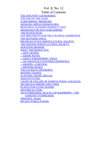#### [Vol.](#page-16-0) 8, No. 12

Table of [Contents](#page-17-0) THE [INDUSTRY](#page-21-0) GOOSEBERRY. THE END OF THE YEAR. [SUBSCRIBERS'](#page-23-0) PREMIUMS. SEEDLING APPLES FROM ELORA. [BEAUTIFUL](#page-24-0) FLOWERS WITHOUT COST. PREMIUMS FOR NEW [SUBSCRIBERS.](#page-24-1) THE RITSON PEAR. [ONTARIO](#page-25-1) FRUITS FOR THE COLONIAL EXHIBITION. THE [REYNARD](#page-26-0) APPLE. MICHIGAN STATE HORTICULTURAL SOCIETY. THE INDIANA [HORTICULTURAL](#page-27-0) SOCIETY. [QUESTION](#page-27-1) DRAWER. WHAT THE [PEOPLE](#page-28-0) SAY. —NEW GRAPES. —GRAPE NOTES. —GREAT STRAWBERRY YIELD. —AN AMATEUR'S FURTHER EXPERIENCE. —GRAPES—A REVIEW. —PRUNING ROSES. THE LUCRETIA DEWBERRY. KEEPING GRAPES. SLANTING GRAPE TRELLIS. SEED POTATOES. CAUSE OF FAILURE OF AGRICULTURAL COLLEGES. DECIDUOUS SHRUBS AND VINES. PLANTS FOR LIVING ROOMS. HISTORICAL ITEM. AN EVERBEARING BLACK-CAP RASPBERRY—THE EARHART EVERBEARER. ORIGINAL. (Poem) RECENT PUBLICATIONS.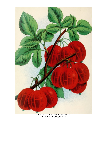

PAINTED FOR THE CANADIAN HORTICULTURIST. THE INDUSTRY GOOSEBERRY.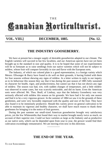#### **THE**

# nnudiun Norticulturist.

#### **VOL. VIII.] DECEMBER, 1885. [No. 12.**

#### **THE INDUSTRY GOOSEBERRY.**

We have at present but a meagre supply of desirable gooseberries adapted to our climate. The English varieties will succeed in but few localities, and our American species have not yet been brought up to the standard in size and quality. It is to be hoped that some of our experimenters will be so fortunate as to raise seedlings from our native varieties which will not be subject to mildew, whose fruit will compare favorably in size and flavor with the European sorts.

The Industry, of which our colored plate is a good representation, is a foreign variety which Messrs. Ellwanger & Barry have found to do well on their grounds, it having fruited with them for four seasons without shewing any signs of mildew. In a letter written in reply to our inquiry as to its behaviour this season they say that it has during the past season of 1885 fully sustained its character for health, vigor, and productiveness, but cannot say that it has not shown any sign of mildew. The season was bad, wet, with sudden changes of temperature, and a little mildew was observed in some cases, but was scarcely noticeable, and did no harm. Even the American sorts were affected. Mr. Thos. Beall, of Lindsay, says that the Industry Gooseberry was very seriously affected with mildew this season on his grounds. We have had it for only one season and find it to be a very vigorous grower. In the summer of 1884 we saw it in the grounds of these gentlemen, and were very favorably impressed with the quality and size of the fruit. They have also found it to be immensely productive. Should this variety prove on general cultivation to be able to maintain its vigorous and healthy character, we shall have much reason to thank these gentlemen for bringing it to the notice of fruit growers.

During the past summer our small-sized American gooseberries brought very satisfactory prices, yet the few Whitesmiths that found their way to market brought nearly twice as much, on account of their superior size. Could we have varieties as large as the Industry and as productive as our native sorts, which can be depended upon from year to year, the grower would find their cultivation exceedingly remunerative. We are moving even now in this direction.

—————

## **THE END OF THE YEAR.**

T<sup>O</sup> OUR SUBSCRIBERS: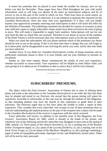It seems but yesterday that we placed in your hands the number for January, now we lay before you that for December. These pages have been filled throughout the year with useful information, such as will keep you abreast of the times on horticultural subjects, and be of service to you in this part of the world in which we live. There have been no serial stories, no humorous anecdotes, no column of witticisms. It is our intention to maintain this character for the *Canadian Horticulturist*. Does this meet with your approbation? If it does, will you kindly express your approval by promptly renewing your subscription so that it will reach this office by the fifteenth of December. The publishing committee has decided for reasons of economy to print only sufficient copies to supply subscribers whose names have been received at the time of going to press. This will make it impossible to supply back numbers. Subscriptions will run for one year from the date on which they are received. Therefore if you desire to secure all the numbers of the *Ninth Volume* it will be necessary that your subscriptions reach us by the day mentioned.

When you remit the subscription will you please mention which of the premiums you desire should be sent to you in the spring. If this is not done then there is danger that you will forget to do it afterwards, and be disappointed at not receiving the article you want, and by that time think you have asked for.

Another favor. If you think our *Canadian Horticulturist* worthy of being sustained, and its publication continued, please to show it to your friends, and use your influence to increase its circulation.

Pardon us. One more request. Please communicate the results of your own experience, whether successful or unsuccessful. Your experience will be helpful to some fellow toiler; and your giving of it to others an act of kindness so akin to mercy that it will be twice blessed.

> "It blesseth him that gives, and him that takes." —————

#### **SUBSCRIBERS' PREMIUMS.**

The object which the Fruit Growers' Association of Ontario has in view in offering these plants and seeds to the subscribers to the *Canadian Horticulturist* is two-fold: the first that these may be planted and tested in our Province; the second that the person testing will report his experience, favorable or unfavorable, as the case may be, through the medium of this Magazine, so that intending planters may have the benefit of that experience to guide them in their selections. The Directors regret that so few have taken the trouble to make a report of their experience. They consider that every subscriber who accepts of one of these premiums does so with the understanding and implied promise on the part of the recipient that a report will be made to the *Canadian Horticulturist* of the receiver's experience with the article received.

Every subscriber will receive, in addition to the monthly issue of this Magazine, the Fruit Growers' Association Report for 1885, which is already in the hands of the printer, and whichever one of the following articles the subscriber may designate to have sent in the spring of 1886, namely: (1) Three plants of the *Ontario Strawberry*, or, (2) a yearling tree of the *Russian Yellow Transparent Apple*; or, (3) a plant of the *Lucretia Dewberry*; or, (4) a yearling vine of the *Early Victor Grape*; or, (5) two plants of the *Marlboro' Raspberry*; or, (6) a package containing a paper of seeds of *Gypsophila paniculata*, *Aquilegia Cerule*, and *Delphinium*, mixed colors. These will all be sent by mail, post-paid.

—————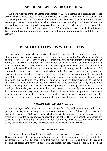#### **SEEDLING APPLES FROM ELORA.**

We have received from Mr. James Middlemiss, of Elora, a sample of a seedling apple, the tree of which is some fifteen years old and has been in bearing a number of years. We are told that the crop this year was quite heavy, though there was a very good show of fruit both last year and the year before. The sample received was about the size of a well grown Grimes Golden, of a rich yellow color, and in good eating condition. In quality it will rank as "very good" by Downing's standard of "good," "very good," "best." Mr. Middlemiss states that he kept this fruit last year until past the new year; and thinks that with care it would probably keep till the end of January.

#### **BEAUTIFUL FLOWERS WITHOUT COST.**

—————

Have you considered what a variety of beautiful things are offered you for the trouble of obtaining only five new subscribers? If you want a sample copy of the *Canadian Horticulturist*, or of the Fruit Growers' Report, or of both of them, you have only to address a postal card to the Editor, St. Catharines, asking for them, and they will be mailed to you at once. Is there anything more beautiful than the various collections of flowering plants offered you? That Chionodoxa with its light azure blue flowers with white centre is just charming; the lily has large beautiful snow-white, trumpet-shaped flowers; Frittillaria bears lily-like flowers, singularly chequered; the Spanish Iris are most richly colored; and the Narcissus flowers are snowy white with a lovely red cup. But it is not needful that we describe these beautiful things, the most of them are well known to our readers as very desirable ornaments in every flower garden, as charming adornments to every home. Can you not spare a little time and show our *Magazine* to your friends and neighbours and send us their subscriptions for the coming year? They will surely thank you before the year closes for calling their attention to a monthly that imparts so much information, that is so very useful to every cultivator of the soil, even though it be but one mere rood of land; and you will have helped us to make it yet more attractive and useful, and by increasing its circulation to scatter yet more widely the seeds of improved Canadian horticulture.

#### ————— **CANADIAN HORTICULTURIST, VOL. VIII.**

And the *Report of the Fruit Growers' Association* for 1884, will be sent to any subscriber, post-paid, for *sixty cents*, so long as there are copies on hand to send. A few copies of Vol. VII. and of the Report for 1883 yet remain, which also will be sent on receipt of sixty cents. The whole will be mailed to any address on receipt of one dollar. This is an unparalleled opportunity to secure a large amount of practical information worth many times the cost. Indeed it will save to any one interested in any way in horticulture many an expensive experiment.

#### ————— **CROWS DEVOURING APPLES.**

A correspondent residing in Nova Scotia writes us that the crows are very fond of the Gravenstein apple, that being the only one out of a large number of varieties which they condescend to eat, and that this fall he lost over a barrel, the crows alighting on the tree and pecking the apples until they fell half eaten and ruined, but they would not touch them on the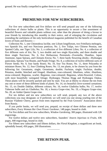ground. He was finally compelled to gather them to save what remained.

#### **PREMIUMS FOR NEW SUBSCRIBERS.**

—————

For five new subscribers and five dollars we will send prepaid any one of the following collections of choice bulbs or plants. This is an opportunity to secure a fine assortment of beautiful flowers and valuable plants without cost, other than the pleasure of doing a favour to your friends by introducing this monthly to their notice, and of enlarging the circulation and extending the usefulness of the only horticultural magazine published for the benefit of Canadian lovers of fruits and flowers:—

Collection No. 1, one Chionodoxa lucillæ, one Lilium longiflorum, two Frittillaria meleagris, two Spanish Iris, and two Narcissus poeticus; No. 2, five Tulips, two Chinese Peonias, one Spotted Calla, one Tiger Lily; No. 3, a collection of five different Lilies; No. 4, a collection of five different sorts of Iris; No. 5, two double and two single Hyacinths, and three double and three single Narcissus; No. 6, five Herbaceous Perennials—Fraxinella, Dianthus, Japan Anemone, Japan Spiraea, and Clematis Erecta; No. 7, three hardy flowering shrubs—Hydrangea paniculata, Spiraea Van Houtte, and Purple Fringe; No. 8, a collection of twelve different sorts of Flower Seeds; No. 9, four hardy Roses; No. 10, four Tea Roses; No. 11, three Polyantha or miniature Roses; No. 12, four Climbing Roses; No. 13, ten plants, to be chosen by you from the following list: Geraniums, single; Geraniums, double; Fuchsias, single; Fuchsias, double; Petunias, double, blotched and fringed; Abutilons, rose-coloured; Abutilons, white; Abutilons, straw-coloured; Begonias, scarlet; Begonias, rose-coloured; Begonias, white-flowered; Coleus, with most beautifully variegated foliage; Hydrangea Thomas Hogg and Hydrangea Otaksa. These plants will be securely packed and sent by mail. You are at liberty to choose the ten from any one or more of these different kinds of plants. No. 14, six beautiful clove-scented carnations; No. 15, six Double Dahlias, different colours; No. 16, twelve Gladiolus bulbs; No. 17, twelve Tuberose bulbs and six Gladiolus; No. 18, a Jessica Grape-vine; No. 19, a Niagara Grape-vine; No. 20, an Amber Queen Grape-vine.

For ten dollars and ten new subscribers we will send, prepaid, any two of the above collections you may designate; or if preferred, we will send you one strong yearling tree of the Russian Vladimir Cherry, grown from trees imported by the Fruit Growers' Association direct from Russia.

If you prefer books, we will send you, prepaid, on receipt of three dollars and three new subscribers, *Every Woman Her Own Flower Gardener*, 148 pages, bound in cloth.

For five dollars and five new subscribers, *Window Gardening*, 300 pages, illustrated with 126 engravings.

For twelve dollars and twelve new subscribers, Saunders' *Insects Injurious to Fruits*, 436 pages, 440 engravings, bound in cloth.

For fifteen new subscribers and fifteen dollars, the *Floral Kingdom*, a magnificent art book, splendidly bound, 450 pages, 200 illustrations. —————

## **THE RITSON PEAR.**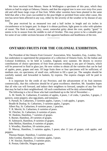We have received from Messrs. Stone & Wellington a specimen of this pear, which they inform us had its origin at Oshawa, Ontario, and that the original tree is now over sixty-five years old and still bears large crops of fine fruit. While other varieties have been planted in the same field that after a few years succumbed to the pear-blight or perished from some other cause, this tree has never been affected in any way, either by the severity of the weather or by disease of any kind.

The pear received by us measured two and a half inches in length and six inches in circumference at its largest part. In shape it is obtuse pyriform, light green in color with splashes of russet. The flesh is tender, juicy, sweet, somewhat gritty about the core, quality "good." It seems to be in season from the middle to end of October. This may prove to be a valuable pear for some of our colder sections because of the apparent hardiness and healthiness of the tree.

—————

## **ONTARIO FRUITS FOR THE COLONIAL EXHIBITION.**

The President of the Ontario Fruit Growers' Association, Wm. Saunders, Esq., London, Ont., has undertaken to superintend the preparation of a collection of Ontario fruits, for the Indian and Colonial Exhibition, to be held in London, England, next summer. He desires to receive contributions of choice specimens of fruit from persons residing in any part of Ontario, which will be preserved in fluid in glass jars. He now wishes to obtain all the varieties that can be had of apples, pears, grapes and nuts. Of large fruits three or four specimens will be sufficient; of medium size, six specimens; of small size, sufficient to fill a quart jar. The samples should be carefully named, and forwarded in baskets, by express. The express charges will be paid in London.

It is important for the credit of our Province, and the advancement of its fruit interests commercially, that this collection should be of great excellence; therefore, Mr. Saunders hopes that all who can will forward, and induce their neighbors to forward, samples of any fine fruit that may be had in their neighborhood. All such contributions will be duly acknowledged.

The following is a list of those who had contributed up to the 3rd of November:—

A. M. Smith, St. Catharines, 8 varieties of apples, 4 pears, 1 of crabs, 1 peaches, 3 grapes, 2 quinces, some peppers; also egg plants, and tomatoes.

S. Parnall, St. Catharines, 3 varieties apples, 3 pears, 1 crab apples, 1 grapes.

Beadle & Dunlop, St. Catharines, 3 varieties apples, 3 grapes.

Albert Pay, St. Catharines, 8 varieties pears, 1 peaches.

T. R. Merritt, St. Catharines, 6 varieties of pears.

W. Fletcher, St. Catharines, 6 varieties of pears.

W. Haskins, Hamilton, 7 varieties of grapes.

S. Burner, Hamilton, 20 varieties of grapes.

H. Saltmarch, Hamilton, 8 varieties of grapes.

John Mellon, Hamilton, 6 varieties of grapes.

S. Woodley, Hamilton, 18 varieties pears.

D. Murray, Hamilton, 5 varieties apples, 5 pears; also 11 jars of grapes, crab apples, and peppers.

Thomas Harper, Hamilton, 5 varieties pears.

John Gordon, Hamilton, 22 varieties apples, 3 pears.

J. W. Sinclair, Hamilton, 5 varieties pears.

R. Postan, Oakville, Niagara grapes.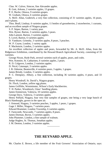Chas. W. Culver, Simcoe, fine Alexander apples.

B. Gott, Arkona, 2 varieties apples, 13 grapes.

P. E. Bucke, Ottawa, 9 varieties grapes.

W. Graham, Ottawa, 6 varieties grapes.

A. McD. Allan, Goderich, a very fine collection, consisting of 31 varieties apples, 16 pears, and 4 plums.

Thos. Beall, Lindsay, 6 varieties apples, 11 bottles of gooseberries, 2 strawberries, 1 currants, and an excellent sample of Niagara grapes.

S. P. Stipes, Barton, 1 variety pear.

Wm. Rynor, Barton, 3 varieties apples, 5 pears.

John Lamont, Barton, 3 varieties apples.

S. Lovel, Barton, 6 varieties apples.

D. Vanduzer, Grimsby, 3 varieties apples, 8 pears, 3 peaches.

W. P. Coyne, London, 1 variety apple.

P. Mackenzie, London, 2 varieties apples.

An excellent collection of apples and pears, forwarded by Mr. A. McD. Allan, from the Ridgetown Exhibition, contributed by the Howard Branch Agricultural Society, consisting of 33 varieties.

George Nixon, Hyde Park, several varieties each of apples, pears, and crabs.

Wm. Kotmire, St. Catharines, 6 varieties apples, 2 pears.

R. D. Colgrove, London, 2 varieties apples.

D. Nicol, Cataraqui, 3 varieties apples.

J. B. Osborne, Beamsville, 4 varieties pears, 3 apples, 1 grapes.

James Briody, London, 3 varieties apples.

P. C. Dempsey, Albury, a fine collection, including 36 varieties apples, 4 pears, and 33 grapes.

Henry Woodruff, St. David's, Niagara grapes.

Dr. Flock, London, yellow egg plums.

James Griffiths, Westminster, Wilson's Early blackberries.

T. H. Parker, Woodstock, Glass' Seedling plums.

James Emmerson, Valencia, 10 varieties apples.

George Davy, Valencia, 3 varieties apples.

Henry Paffard, Niagara, four very fine samples of grapes, one being a very large bunch of Black Hamburghs, grown in the open air.

J. Ormond, Niagara, 3 varieties peaches, 3 apples, 1 pears, 1 grapes.

Gage J. Miller, Niagara, 7 varieties pears.

Edward Brammer, London Township, 6 varieties apples.

F. Farncomb, Newcastle, 7 varieties apples, 8 pears.

James Dorman, Byron, 5 varieties apples.

John Plummer, London, a fine sample of walnuts.

Judge Hughes, St. Thomas, Jonathan apples.

J. M. Denton, London, 3 varieties apples.

## **THE REYNARD APPLE.**

—————

Mr. Charles E. Brown, a life member of the Fruit Growers' Association of Ontario, says: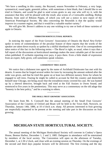"We have a seedling in this county, the Reynard, season November to February, a very large, symmetrical, round apple, greenish yellow, with sometimes a faint blush, that I should like to see tried in Ontario, and would be glad to send scions gratis to any one who will try it, with the assurance that they will be pleased with the result; also scions of a Cornwallis seedling, Bishop Bourne, from seed of Ribston Pippin, of which you will see a notice in next report of the American Pomological Society. My idea concerning the Reynolds is that the quality would improve in a warmer region, and that it would be a valuable market variety."

We will give Mr. Brown's address to any one wishing to try one or both of these varieties of apple in Ontario.

#### ————— **VERBATIM HORTICULTURAL REPORTS.**

In noticing the report of the Fruit Growers' Association of Ontario the *Rural New-Yorker* spoke in terms of commendation of the peculiar feature of these reports that the words of the speaker are taken down exactly as spoken by a skilful shorthand writer. One of its correspondents takes notice of this fact in the following terms:—The *Rural* is right, as usual, when it says that a full report of the discussions at horticultural meetings makes the most valuable part of the record when published. If *verbatim* reporting ever pays, it pays there. Even a little shade of expression from an expert, fully given, will sometimes speak volumes.

#### ————— **A DISHONEST TREE AGENT.**

We notice that a dishonest tree agent by the name of Archibald Drinkwater has met with his deserts. It seems that he forged several orders for trees by increasing the amount ordered after the order was given, and that he tried this game on at least two different nursery firms for whom he engaged to sell trees. Fearing he might be called to account he fled the country and domiciled himself near Chicago, not being aware that the extradition treaty covered his case. He was hunted up by a shrewd detective, brought back and tried at the Fall Assizes in Owen Sound, and sentenced to five years in the penitentiary. This may serve as a commentary on the old adage that "honesty is the best policy," and be a warning to others.

#### ————— **THE SMALL FRUIT GROWERS' ASSOCIATION.**

We learn from Mr. S. Cornwell that the annual meeting of the Small Fruit Growers' Association of the Counties of Oxford and Brant will be held in the Town Hall, Norwich, on Thursday, January 14th, 1886, at 10 o'clock a.m. sharp. All persons interested in fruit growing are respectfully requested to be present at the meeting and take part in the discussion on fruit growing.

—————

#### **MICHIGAN STATE HORTICULTURAL SOCIETY.**

The annual meeting of the Michigan Horticultural Society will convene in Conkey's Opera House, Benton Harbor, December 1, 2 and 3, 1885. Delegates in attendance will be entertained by members of the local society. The Convention will open on the afternoon of Tuesday, December 1, at 2.30 o'clock, and close with an evening session on Thursday. On the evenings of the second and third days popular lectures will be delivered. The first evening and the day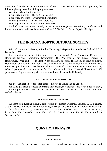sessions will be devoted to the discussion of topics connected with horticultural pursuits, the following being an outline of the programme:—

*Tuesday*—Market fruit growing.

*Wednesday morning*—The vegetable garden.

*Wednesday afternoon*—Ornamental horticulture.

*Thursday morning*—Amateur fruit growing.

*Thursday afternoon*—Arboriculture and forestry.

Kindred organizations are cordially invited to send delegations. For railway certificates and further information, address the secretary, Chas. W. Garfield, at Grand Rapids, Michigan. —————

## **THE INDIANA HORTICULTURAL SOCIETY.**

Will hold its Annual Meeting at Purdue University, Lafayette, Ind., on the 1st, 2nd and 3rd of December, 1885.

The following are some of the subjects to be considered: Pears, Plums, and Cherries of North-east Europe, Horticultural Entomology, The Protection of our Birds, Progress in Horticulture, When and How to Plant, When and How to Prune, The Effects of Frost on Plants, Horticulture and School Sanitation, The Ornamentation of School Property, and Its Permanent Influence upon the Pupils, Distribution and Preservation of Species, Fruits for Farmers' Families, What Experimental Stations can do for Horticulture, What Fruit Trees shall we Plant? All persons attending the meeting will be entertained free of cost at the University.

#### ————— **FLOWERS IN THE SCHOOL GROUNDS.**

Mr. Morgan, Inspector, has sent a crate of flowers to Orillia Public School.

Mr. Ellis, gardener, proposes to present fifty packages of flower seeds to the Public School, to give the pupils instructions in planting them, and prizes to the most successful cultivators. —*Orillia Packet.*

#### ————— **PRICES OF APPLES IN ENGLAND.**

We learn from Keeling & Hunt, fruit brokers, Monument Buildings, London, E. C., England, that on the 21st of October last the following prices per bbl. were realized: Baldwins, from 12*s.* to 18*s.*; a few choice, 21*s.*; Greenings, from 13*s.* to 15*s.*; Jonathan, from 12*s.* 6*d.* to 17*s.*; King, from 13*s.* to 16*s.*; Spitzenburg, from 12*s.* to 17*s.* 6*d.*; Spy, from 14*s.* to 16*s.* 6*d.*; Vandevere, from 10*s.* to 11*s.* 6*d.*

—————

## **QUESTION DRAWER.**

#### ————— **NEW DISASTERS.**

DEAR SIR,—The present year's experience has introduced me to two fresh and unexpected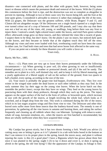disasters—one connected with plums, and the other with grapes; both, however, being some insect or disease which causes the premature death and removal of the leaves. With the (1) plums this commences before the fruit is ripe, and the destruction was not so complete as altogether to prevent its ripening. Although in two or three cases very few leaves being left, and the fruit at the time quite green, I considered it advisable to remove it rather than endanger the life of the trees. With (2) grapes, the Delaware was the greatest sufferer, while Brant, Rogers' 9 and 15, and Clinton did not altogether escape. Of the Delawares not a single bunch ripened or a single berry ever turned colour out of a crop of between 100 and 200 pounds, and I may also say that there was not a leaf on any of the vines, old, young, or seedlings, long before there was any frost to injure them. I noticed a small, light-colored insect under the leaves, and tried Paris green without effect; afterwards wings grew on these insects, and they infested the vines like a swarm of gnats. I suspect them to be thrip, but don't know. On the plums I saw no insect, but noticed dark spots on the leaves, and they became so brittle that at the slightest touch they fell off the trees. Although my vines and trees were loaded with fruit, overbearing could not have been the cause in either case, for I had both vines and trees that had never borne fruit affected in the same way.

If you can point out a remedy for these disasters you will confer a favor on

Yours truly,

Barrie, 9th Nov., 1885.

REPLY.—(1). Plum trees are very apt to loose their leaves prematurely under the following circumstances:— (*a*) When growing in poor soil, (*b*) when growing in wet or insufficiently drained ground, (*c*) in very dry weather or protracted drouth, and (*d*) if the soil be sandy. The remedies are to plant in a rich, well drained clay soil, and to keep it rich by liberal manuring, and a yearly application of a liberal supply of salt on the surface of the ground, from two quarts to half a bushel, every spring, according to the size of the tree.

(2). Your insect is probably the grape-vine leaf-hopper, *Erythroneura vitis*. They live over winter in the winged state under the dead leaves or such other rubbish as they may find. In the early summer they lay their eggs on the young vine leaves. When the larvæ hatch out they resemble the perfect insect, except that they have no wings. They feed on the young leaves by puncturing them with their sharp proboscis, through which they suck up the juices. The injury appears on the upper surface of the leaf in the form of yellow or brownish spots, which increase in size with the growth of the insects, at length involving the whole leaf, which looks as if scorched, and at length drop from the vine. This work is continued during the life of the insect, which in its last stages acquires wings and flies from vine to vine. The Delaware and other thinleaved sorts suffer more from these insects than the leathery-leaved sorts. The remedy is one of prevention, by gathering all the vine leaves in autumn and burning them, and raking the surface frequently and cleaning up all rubbish where they can hibernate. Syringing with tobacco-water, whale oil soap, kerosene emulsion, etc., when the insects are first hatched is recommended, but these are wholly inefficient when they have acquired their wings.

#### ————— **CATALPA SPECIOSA.**

My Catalpa has grown nicely, but it has two shoots forming a fork. Would you advise (1) cutting away one or letting it grow as it is? I planted it in a tub with holes bored in the bottom so that I can remove it to its proper place in the spring, knock the staves away, and plant it without injuring the roots: is this  $(2)$  a good plan? I have a Bignonia which has grown about three feet since it was planted in the spring: ought I (3) to lay it down and cover it, or does it spring up afresh in the spring, the old vine dying? I like the appearance of the Catalpa; its foliage is fine;

A. HOOD.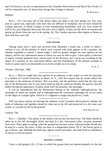and if its bloom is as nice as represented in the *Canadian Horticulturist* and *Rural New-Yorker*, it will be a beautiful tree. At about what (4) age does it begin to bloom?

Bethany.

REPLY.—(1), Cut away one of the shoots when you plant it out next spring. (2), Yes, your plan is a good one, especially with trees that are difficult to transplant, but we have found the Catalpa speciosa, or Hardy Catalpa, to bear transplanting remarkably well. (3), You would do well to lay your Bignonia down this fall and cover it lightly. It does not die down in autumn and spring up afresh from the root in the spring. (4), The Catalpa speciosa often begins to bloom at three and four years old.

#### ————— **FERN FRONDS.**

Among some ferns I have just received from Muskoka I found one, a frond of which I enclose to you, all the petioles of which were covered with what appears to be a parasite, but whether vegetable or animal I cannot judge. I shall be greatly obliged for your opinion on the subject, and for any information about it which you may be able to give. I have quite a collection of native varieties gathered from various parts of the Province, but I never saw anything of the nature of a parasite on any specimens before, and the resemblance of the present example to violet or pansy seed is so remarkable as to excite wonder as to its origin.

Toronto, 23rd Sept., 1885.

REPLY.—That we might have the opinion of an authority in this matter we sent the specimen to a student of Cornell University at Ithaca, N. Y., with the request that he would submit the specimen to the professor of botany. This was done, and the professor stated that the fern was one of the Moonworts, but so very much dried up that he could not identify the species, that the bodies having the appearance of pansy seeds were not parasitic, but sporangia.

It will be remembered that the Moonworts belong to the suborder *Ophioglossaceæ*, the sporangia of which are spiked, and in Ophioglossum the coriaceous sporangia are in two ranks on the edges of a simple spike, which in O. vulgatum is single and placed on, a stalk.

Will you please inform me through the medium of the *Canadian Horticulturist* whether the bulbs of tuberoses and tigridias should be taken up in the fall and preserved in a dry state over winter, or can they be left in the ground?

JOHN KNOWLSON.

Lindsay, Ont.

REPLY.—*Tigridia*—The plants of this family will not bear the least frost. The bulbs should be taken up in the fall, thoroughly dried, and kept in a dry, frost-proof cellar, securely protected from mice. Plant again in spring, when the ground has become warm. *Tuberose* bulbs should also be kept in a warm, dry place. If they are kept in a temperature below 50° F. the flower germ is apt to decay; and, although the bulb may appear sound outwardly, and send forth an abundance of leaves, it will not flower.

#### ————— **HEATING A VINERY.**

I have a cold grapery 30 x 15 feet, in which the grapes have not ripened properly for the last

S. A. C.

R. KENNEDY.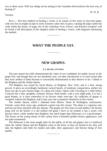two or three years. Will you oblige me by stating in the *Canadian Horticulturist* the best way of heating it?

Toronto.

REPLY.—The best method of heating a vinery is by means of hot water in four-inch pipes, with one foot in length of pipe to every fourteen cubic feet of space, running the pipes under the walk within the house. At page 142 of the *Canadian Fruit, Flower, and Kitchen Gardener* will be found a full description of the simplest mode of heating a vinery, with diagrams illustrating the method.

—————

## **WHAT THE PEOPLE SAY.**

—————

#### **NEW GRAPES.**

#### **P. E. BUCKE, OTTAWA.**

The past season has fully demonstrated the value of two candidates for public favour in the grape line; and though they are not absolutely new, yet their introduction is of such recent date they have neither of them become so universally disseminated as they deserve to be. I allude to the Brighton and the Amber Queen.

The Brighton was raised by Jacob Moore, of Brighton, New York, and is a fine, strong grower. It gives an exceedingly handsome conical bunch, of moderate compactness, neither too loose nor apt to jam; berries large, of a deep red colour; ripens with Creveling or a little before Concord; has a fine, sprightly, aromatic flavour; flesh tender, with a very slight pulp. It is not a good keeper, as it loses somewhat of its flavour when over-ripe. No collection of grapes is complete without the Brighton, and if only one vine is planted it should be of this variety.

The Amber Queen, which I obtained from Messrs. Stone & Wellington, nurserymen, Toronto, some three years ago, produced a good crop this season. The plant is a vigorous one, and has not been attacked with any disease. The grapes are free from rot and mildew; the berries hang well on the bunch; it is the earliest red grape I have so far fruited; it has a sweet, rich flavour; berry a little smaller than Brighton, but much larger than Delaware; it is a good keeper. The leaves on the young shoots of this variety have a beautiful golden bronze appearance, and are quite ornamental.

The Delaware is the most sought after by the public of all the red grapes; but it is believed when the Amber Queen and the Brighton come to the front, as they are bound to do, they will take the highest rank both for market and table, their appearance and flavour being of first quality.

—————

W. W. R.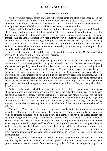## **GRAPE NOTES.**

#### **BY T. C. ROBINSON, OWEN SOUND.**

As the vineyard season comes and goes, what sweet spots and streaks are indented on the memory in judging the merits of the multitudinous varieties that so successfully claim our attention! Some of the introductions of recent years are certainly remarkable for their excellence. Among these the one which has attracted the most attention, perhaps, is the

*Niagara.*—I find it well up to the claims made for it. Season of ripening about with Worden; cluster large, and quite compact without cracking; berry as large as Concord, rather oval, of a fine shade of greenish yellow; and quality very sweet and delicious, though not as rich as some others; while the vine is a remarkably strong grower, very productive, and the foliage is of the healthy Labrusca type. Unfortunately, my crop of all varieties was cut short by a late spring frost; but the abundant blossoms showed what the Niagara could do. In spite of the strong foxy smell which it develops when kept in the house for some weeks, I would rather grow it for profit than any other variety which I have tested.

*Jessica.*—I have not yet fruited this, and shall watch the columns of the *Horticulturist* with interest for the reports of those who have it in bearing.

Some vines that I have have grown well.

*Moore's Early.*—Perhaps this grape will pay the best of all the black varieties that can be grown for a distant market, provided it is given rich soil. This condition touches its weak point, viz: its lack of vigor in growth. I would not like to call it a *poor* grower, yet it is notably behind Concord and the Rogers' varieties in this respect. Yet we cannot expect to have the great advantages of extra earliness, size, etc., without paying for them in some way. And when the Moore puts so large a measure of its sap into fine clusters of very large, firm, handsome, and well flavored fruit, that ripens along with Champion, we should not grudge a little extra manure and elbow-grease, to enable the vine to stand the strain, and grow enough wood to do it again next year. I find the fruit to be tougher-skinned than either Concord or Worden, and the quality about like Concord.

*Lady* is another variety which labors under the same defect. If it gets good treatment it ripens about with Moore and Champion, and while the clusters are only of medium size, yet the berries are often as large as Concord. It seems a rather slower grower than Moore's Early, with rich soil and fair cultivation. I think it will be found of great value as the earliest white grape in general cultivation. The fruit is sweet and good, and the foliage, like Moore's Early, is of the hardy, insect-proof and disease-resisting Concord type. The fruit of the Lady is too tender-skinned to ship far.

*Champion.*—What a poser this grape is. How one would like to kick it out for its sourness when first colored, and for its poor quality that is worse than sourness when fully ripe! And yet, with its extreme earliness, its good-sized berry, and compact (if not good-sized) cluster, its healthful foliage, and great vigor, hardiness and productiveness,—*there it is*,—come to stay, I verily believe! We may *talk* about kicking it out; but as long as men find that with Champion vines they are sure of big grapes and lots of them, so long it will rear its crest triumphant. People will certainly be shy of all black grapes on the fruit stands while the Champion is around, yet most folks who buy would prefer Champion grapes to *no* grapes. So let us as a remedy try to work market quotations into a separate rate for Champion, and then let this irrepressible Labrusca have its fling!

I don't succeed with *Pocklington*, or *Prentiss*, or *Lady Washington*. I have them in a sunny spot on very rich soil, but where we neglected proper cultivation. Some other varieties with poorer treatment have done well. Some have utterly failed. So I am not competent to pass an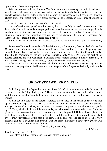opinion upon these from experience.

*Jefferson* has been a disappointment. The fruit sent me some years ago, upon its introduction, was the most delicious I remember ever tasting; the foliage is of the healthy native type, and the growth vigorous. But it winter killed with me, when left exposed, so that I have never grown a cluster: I must experiment further. It proves fully as late as Concord, on the grounds of a friend in town.

It would never do to omit mention of the "old reliable"

*Concord.*—This has ripened here this season; that is, it has fully *colored*. But was it ripe? The fact is the Concord demands a longer period of sunshiny weather than we usually get in this northern lake region; so that even when it does color you have to lay it down, gently or otherwise, with the sad conviction that you are eating Concords that are not Concords. The Concord body is there, but the Concord *soul* is hence!

But whatever our Concords lack in sweetness, etc., is more than made up in its noble child, the

*Worden.*—Here we have to the full the thrip-proof, mildew-proof, Concord leaf, almost the Concord vigour of growth, more than Concord size of cluster and berry, a time of ripening close behind Moore's Early, and by far the purest, most delicious flavor of all the Concord family. Indeed, after comparing it with well ripened Eumelan, Early Victor, Delaware, the best of the Rogers varieties, and with well ripened Concord from southern districts, I must confess that, so far as this season's grapes are concerned, I prefer the Worden to any other whatever.

After giving such an unusual opinion (which I hope some of the newer varieties may give me reason to change) perhaps I had better not go on to speak of the Rogers, and other hybrids, at this time.

—————

### **GREAT STRAWBERRY YIELD.**

<span id="page-16-0"></span>In looking over the September number, I see Mr. Croil mentions a wonderful yield of strawberries on the "Slip-shod System." There is a somewhat similar case in this village, only with far more astonishing results. I can verify the statement as to yield, and I measured the patch myself.

A man put in a patch in his garden Sharpless strawberries in the spring of 1883, one foot apart every way, kept them as clean as he could, but allowed the runners to cover the ground. Last year he raised 75 baskets, and this year 375 baskets! The piece of ground measures 7 yards by 17. He says he has had very little trouble this year with weeds; and no wonder, when I saw the piece there was no room for weeds. I need not say the soil is splendid. Hitherto I have planted in matted rows, and kept as clean as I could with a good deal of labor; but in future I think I shall try to grow strawberries as this man does. How is it all one's theories are so upset? It is very discouraging to a beginner like myself. Perhaps some experienced strawberry-grower will explain the reasons for this wonderful yield.

I remain, Sir, yours truly,

—————

A. J. WRIGHT.

Lakefield, Ont., Nov. 5, 1885.

[Will Messrs. Little, Hilborn, and Robinson please to explain?]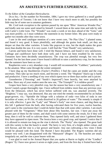#### **AN AMATEUR'S FURTHER EXPERIENCE.**

#### <span id="page-17-0"></span>*To the Editor of the Canadian Horticulturist.*

DEAR SIR,—In the number for November, 1884, I gave my views gathered in a small garden in the suburbs of Toronto. I do not know that I have very much more to add, but possibly the little may be of some use to amateur gardeners.

Mr. Croil took exception to the opinion passed by me upon "Bliss' American Wonder Pea," and kindly sent me some seed raised by himself. I sowed them at the same time and side by side with Carter's Little Gem. The "Wonder" was ready a week or ten days ahead of the "Gem," and was more prolific; so I must withdraw the statement in my former letter. My peas were ready to gather two months after they were sown.

I saw in the seed catalogue mention of a new sweet corn, "Ne Plus Ultra." I planted some, and found it very good. It bears plentifully, and although the grains look small, yet they are deeper set than the other varieties. It looks like popcorn in size, but the depth makes the grain more than double the size. It is very sweet. I still find the "Tom Thumb" very satisfactory.

Carrots and beets have done well. I tried the Hanson lettuce, and found it very satisfactory. Cabbage and cauliflower have both done well, and I have not been troubled by the worm. Tomatoes have been decidedly unsatisfactory. The crop was plentiful enough, but very few ripened. For the last three years I have found it difficult to raise a satisfactory crop, for the reason that the summers have been so cool.

Raspberries were a very abundant crop. I would still recommend the "Cuthbert," particularly to the amateur. Mine came through the winter uninjured.

I have dug up my blackberries (Taylor's Prolific). I find the canes are tender and the crop uncertain. They take up too much room, and become a weed. The "Hopkins" black-cap is hardy and productive. I have a seedling of my own which ripens two or three days earlier and is juicier.

Gooseberries ("Downing" and "Smith's Improved") bore heavily, but were attacked by mildew. Have any of your readers seen the new one, "The Triumph?" Is it mildew-proof?

Grapes have been a very plentiful crop, but the season has been a very unsatisfactory one. I haven't tasted a grape thoroughly ripe. I have suffered from mildew more than any previous year. Even the Delaware, which has never before suffered with me, was attacked severely. The "Brighton," I may say, was destroyed. Has any one tried the remedy recommended by an Italian grape-grower, viz.: "Sprinkle the foliage with a solution of soda—two kilos of soda in one hectolitre of water, or 4½ lbs. of soda dissolved in 26 gallons of water." The remedy is simple if it is only effective. I gave the "Lady" and "Moore's Early" one more chance, and dug them up this fall. I gathered from the both, after having cultivated them for five years, twelve bunches, and I came to the conclusion that I could do better than that with some other varieties. I am much pleased with the "Vergennes." Mine bore about fifty bunches, fair size. I have put away the greater part of them for the winter, and shall watch with some interest the result, for if they will  $\frac{1}{2}$  keep, then it will be well to cultivate them. They ripened fairly well, and since I gathered them they have appeared to ripen more. The Jessica bore a very good crop, and ripened. I notice that if it is allowed to remain too long on the vine it shrivels. The "Purity" also ripened. The great fault with this variety is that the bunch is small. The berry is very firm, of a bright amber colour, and rich flavour, and the vine is a fair grower and bearer. Any one cultivating a few vines I think would be pleased with this kind. The Burnet I have discarded. The Rogers varieties did not mature very well. I am disappointed with the "Massasoit" (Rogers' 3). The bunches are small, irregularly set, and the vine a poor bearer with me.

I was glad to read in the Annual Report that you spoke at Barrie so highly of the "Lindley" (Rogers' 9). I have now grown it seven or eight years, and from the first day it fruited have had a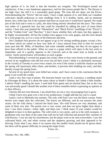high opinion of it. Its fault is that the bunches are irregular. The Pocklington turned out satisfactory. It has a very handsome appearance, and for that reason people like it. The flavour is not high class, but still it is a reasonably good grape. The Iona did not ripen, nor the Elvira. Notwithstanding the "Elvira" did not ripen, I have a high opinion of it, and think our Canadian cultivators should endeavour to raise seedlings from it. It is healthy, hardy, and an immense bearer, but a little late; but if the summer had been an usual one it would have ripened. We made jam of the fruit and it went to a jelly, the skins being entirely absorbed into the juice. The colour was rather of a greenish hue, but that could be remedied by adding the juice of some black variety. I have this year planted the "Montefiore" and "Black Elvira" (seedlings of the "Elvira"), and the "Golden Gem" and "Bacchus." I don't know whether they will ripen, but they appear to be highly recommended. All but the Golden Gem appear to be wine grapes, and the Gem should be a wine grape too, as it is a cross of the Delaware and Iona.

Our Canadian fruit growers do not appear to go in for raising seedling grapes, except a few, and those which are raised we hear very little of. I have noticed from time to time for several years past that Mr. Mills, of Hamilton, had some valuable seedlings, but they do not appear to have been offered to the public. What we want is a grape which will ripen in the last week in September, and of a quality superior to the Concord, and at the same time as hardy as that variety. Surely perseverance will produce us such a grape.

Notwithstanding I covered my grapes last winter, three or four were frozen to the ground, and several of my neighbours who did not cover lost all their wood. I think it is absolutely necessary in the vicinity of Toronto to cover every winter; for even if the winter is mild the chances are that the spring will injuriously affect them, and besides, it prevents their budding too early, and they thereby escape the spring frosts.

Several of my peach trees were killed last winter, and I have come to the conclusion that the game is not worth the candle.

I had a very fine crop of plums. The heaviest bearer was the St. Lawrence, a seedling raised by Ellwanger & Barry. It is about the same colour as Smith's Orleans, but I think a little smaller. I admire Pond's seedling the most. I used both Paris green and air-slacked lime, but as the crop was universally good I should like another trial of these remedies before expressing an opinion as to their efficacy.

Cherries did not even blossom. I am afraid they are not a very encouraging fruit to grow.

I think I have now gone over a list of my productions. I might add that my soil is a sand.

I paid a visit to Manitoba last summer. The only wild fruit I saw was the black currant. Some berries were larger than the cultivated. The leaves are different, and do not possess the same aroma. On the wild cherry I noticed the black knot. The wild flowers are very abundant, and some of them very fine. The prairie rose is very sweet, and does not grow higher than about a foot. I saw three colours—white, light, and deep rose. I think many of your readers would be delighted to have it in their gardens. The wild vetch is very pretty, and so is the wild coreopsis. A gentleman who was there at the same time told me he had collected and pressed fifty varieties of wild flowers. I was too late for strawberries, but the plants were to be seen everywhere. I saw the cultivated black, red, and white currant and the raspberry growing, and they appeared to be thriving. From what I saw, there is no reason why the smaller fruits should not be grown there, but there will be greater difficulty in raising the larger fruits.

Yours, etc.,

—————

Toronto, Nov. 5th, 1885.

ALFRED HOSKIN.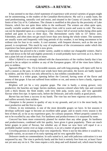#### **GRAPES—A REVIEW.**

<span id="page-19-0"></span>It has seemed to me that a brief statement of experience with several varieties of grapes might not be uninteresting, to the readers of the *Canadian Horticulturist*. My soil is a sandy loam, the sand predominating, naturally cool and moist, and situated in the County of Lincoln, within the limits of the City of St. Catharines. The climate is modified at this place by the proximity of Lake Ontario, which lies not quite three miles to the northward. The winters are often quite open, usually variable weather with sudden changes from cold to warm and warm to cold. The snow can not be depended upon as a covering in winter, a heavy fall of several inches being often quite melted and gone in two or three days. The thermometer rarely falls to 15° below zero, Fahrenheit, and often does not get much lower than zero during the whole winter. The summers are usually warm and frequently with long periods of dry weather, it not being uncommon to be without rain for four to six weeks. A cool summer, with frequent showers, such as the one just passed, is exceptional. This much by way of explanation of the circumstances under which this experience has been gained which is now given.

*Adirondac* has proved to be a tender variety, unable to endure our changeable winters. Had it been laid down in the fall and slightly protected, it would probably have survived; as it is, there is not a plant left out of some dozen or more.

*Allen's Hybrid* is so strongly imbued with the characteristics of the vinifera family that it has proved to be as subject to mildew as any of the European grapes. All of the vines have fallen a prey to mildew.

*Agawam* (Rogers' No. 15) in favorable seasons, and with long pruning, will ripen well; but in such a season as the past, in which east winds have been prevalent, the leaves are badly injured by mildew, and the fruit is not only affected by it, but exhibits considerable rot.

*Antoinette* is a white grape, ripening before the Concord, having some of the flavor and aroma of that grape. It has not suffered from mildew or rot, and seems to have a hardy, vigorous constitution.

*Brighton* will yet be a very popular grape. The vine is hardy, a strong grower, very productive; the bunches are large; berries medium, maroon colored when fully ripe and covered with a thick bloom; the flesh tender, with very little pulp, sweet, juicy, and very agreeable flavour when first ripe. It ripens early, before the Delaware, and sells readily at good prices.

*Burnet* has not been a success in my hands. The vine has not been vigorous nor productive, and suffers severely from mildew.

*Champion* is the poorest in quality of any in my grounds, and yet it is the most hardy, the most productive and the first to ripen.

*Clinton*, in my estimation, is one of the most desirable grapes we have. In hot seasons it develops sufficient sugar to become an excellent table grape; and in nearly every season is the best of them all, so far as my experience goes, for culinary purposes. Where properly canned it is not to be excelled by any other fruit. For hardiness and productiveness it is surpassed by none.

*Concord* has been more extensively planted for market than any other grape. Its hardiness and productiveness, combined with fair quality, have given it great popularity. There are much better grapes in point of flavour, but whether any of those we now have will equal it as a profitable market variety over as large a territory, is as yet a matter of great doubt.

*Creveling* persists in setting its fruit very imperfectly. Were it not for this defect it would be a valuable variety, on account of its early ripening and its very agreeable flavor.

*Delaware* needs no commendation. In soils suited to it, and with judicious cultivation it is not surpassed by any. The vine is perfectly hardy and the fruit is entirely free from rot, at least I have not yet seen any rot in it. The vines require a rich, deep and well drained soil, which must be kept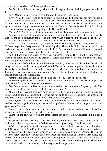rich, to be pruned short, and the crop well thinned out.

*Duchess* has mildewed so badly with me that I despair of ever obtaining a good sample of fruit.

*Early Dawn* is also very subject to mildew, and cannot be relied upon.

*Early Victor* has not proved to be as early in ripening as I had expected, but nevertheless I think it will be a valuable variety. The vine is very hardy and very healthy, not having shown any signs of mildew, and very productive. The bunches and berries are small, which points are against it as a market grape; nor is it as early as the Champion, but the berries do not drop from the bunch, and are far superior in quality to the Hartford Prolific.

*Hartford Prolific*, to my taste, is not much better than Champion, and I want none of it.

*Iona* ripens just a little too late, being in perfection about three seasons out of five. It needs rich soil and good cultivation and a warm exposure. When it does ripen the quality is just "*best*."

*Ives* does not ripen as early as the Concord, and is decidedly more foxy.

*Jessica* has fruited in New Jersey and proved to be a very early ripening variety there also. J. T. Lovett says of it, "Very early and of splendid quality. The fruit is all that can be desired for an early white grape, but the vine mildews very badly." This season, in which mildew nearly ruined my Rogers Hybrids of every name, the Jessica was not affected.

*Lady* did not ripen this season as early as I supposed it would. This is the first time that my vines have borne. The bunches and berries are larger than those of Martha, and somewhat less foxy, but quite too foxy to suit my taste.

*Linden* ripens before the Concord, before the Worden, somewhat smaller in both bunch and berry than either, quality about equal to Concord. The berries do not drop from the bunch, which is handsomely shouldered, and will remain on the vine until frost without deteriorating in flavour. To my taste it is not as good as Moore's Early, but will probably be more profitable as a market grape in northern localities.

*Martha* is too small and too late in ripening and too foxy when ripe to suit me.

*Massasoit* ripens as early as Hartford Prolific, and is to my taste a much better grape. The bunches are short, berries large, red and sweet.

*Merrimack* seems to be less subject to mildew and rot than most of the Rogers Hybrids. The bunches are not large, berries large, black, sweet and "*good*."

*Moore's Early* has not been ripe quite as early as the Champion, is much better in quality, being about as good as Concord; the berries are not quite as large as Concord, and when dead ripe drop from the bunch; nor is the vine as productive or vigorous.

*Pocklington*, after several seasons' trial, has proved to ripen after the Concord. The bunches and berries are large, handsome, and when fully ripe have a decided yellow tinge. In quality as good as the Concord.

*Prentiss* ripens about with the Concord; bunches and berries of medium size, pale yellow when ripe, with something of the Isabella flavour.

*Salem* will mildew and rot with me three seasons out of five. When well ripened it is a good keeper.

*Vergennes* does not ripen any earlier than Concord, or my vine is not true to name. It is not of high quality, but it is agreeable; the flesh is somewhat tough or pulpy. It will keep well.

*Wilder* is a grape of magnificent appearance, very large in bunch and berry, ripening about with Concord, and of "good" quality. Like all of Rogers' Hybrids it is subject to mildew and rot.

*Worden* is steadily gaining in favour as a grape for general cultivation in Ontario. The vine is healthy, hardy, productive; bunch and berry about the same in size as Concord, less pulpy, but otherwise having much the same flavor, and ripening about ten days earlier; this difference in time of ripening being more marked in northern Ontario than in the southern portion. The fruit is covered with a rich bloom which gives it a very attractive appearance.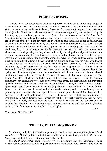### **PRUNING ROSES.**

—————

<span id="page-21-0"></span>I should like to say a few words about pruning roses, bringing out an important principle in regard to it that I have not seen elsewhere mentioned, except in a most incidental manner; and which, experience has taught me, is the very key-note of success in this respect. Every article on the subject that I have read is always emphatic in recommending pruning, and severe pruning. In fact, they say you can hardly prune too much (with a few cautions) and the English *Rosarians' Year Book* (which is, perhaps, the best authority for everything regarding rose culture) gives an article by one of the noted English rosarians, in which he says that he never had as fine flowers as one year when a donkey accidentally got into his garden, and cropped his rose bushes almost even with the ground. So, full of this idea, I pruned my own accordingly one summer, and the result was, that, on the vigorous canes, the few eyes left burst with such vigor that it took them all summer to finish growing the long shoots, induced by throwing all the vigor of the bush into so few eyes; and on some I had no flowers, on others but a few. I have since learned that this one maxim is without exception: "the stouter the wood, the larger the flower, and *vice versa*." So that it is best to cut off to the ground the canes which are thinnest and weakest, and cut away all wood that has bloomed, leaving only the stoutest canes of the present season's growth. Do this in the autumn early, so that the sun and air may have free access to ripen all the wood you intend to keep, and in the fall bend down and cover these strong branches. When you uncover them in the spring take off only short pieces from the tops of each stalk, the most stout and vigorous should be shortened very little, and see what roses you will have, both for quality and quantity. The hybrid Noisettes—which are perfectly hardy, if bent down and covered—need this caution particularly, for, although they produce no very vigorous canes, like Jacqueminot, still they send up such a number, and each cane produces such a multitude of buds, that often the plant will not open a single one of them; and they decay and drop off in the unopened bud. The remedy for this is to cut out all two year old wood, and all the weakest shoots; and on the varieties given to producing more buds than they can open, it is better not to prune the remaining shoots at all. I have tried this plan with perfect success on some bushes that were very bad cases of this kind of rose trouble. In hybrid Noisette roses, where the habit is thoroughly remontant, that is, where new shoots are freely produced from the roots, I never leave more than the four best on each bush. In fact, I treat all remontant roses exactly as I treat raspberries, and I am sure that, for this country, if not for every country, it is by far the best plan.

Vine Lynne, Oct. 21st, 1885.

H. S. L.

#### **THE LUCRETIA DEWBERRY.**

—————

<span id="page-21-1"></span>By referring to the list of subscribers' premiums it will be seen that one of the plants offered is the *Lucretia Dewberry*. It is said that it was found growing in West Virginia. In the *Rural New-Yorker* we find the following testimony in regard to this fruit.

The *Rural New-Yorker* says:—Hitherto we are not aware that the Dewberry (*Rubus Canadensis*) has held any recognized place among cultivated small fruits. Several varieties have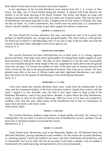been talked of from time to time, but have soon been forgotten.

A few specimens of the Lucretia Dewberry were ordered from Mr. J. T. Lovett, of New Jersey, last May, one of which fruited during the summer. It ripened with Early Harvest, the earliest of all the kinds growing at the Rural Grounds. The berries and drupes are large, and though of good quality when fully ripe, they are rather sour if picked sooner. This may be said of all blackberries; but more especially of this, if judged from its first season of fruiting. The vines are thus far hardy. As, if left to themselves, they would cover too much land, it is a question for others to decide whether it would pay to give them support by trellises or otherwise.

#### **FROM R. G. CHASE & CO.**

We have fruited the Lucretia Dewberry this year, and found the fruit to be of good size, perhaps we should properly say, of large size and good quality. The vine is with us a free grower. For home use we deem it a desirable thing, but it is too soft to ship. It did not suffer any from the severity of the past winter, although it received no special care. Geneva, N. Y.

#### **FROM WILLIAM PARRY.**

The Lucretia Dewberry has been cultivated here two or three years. It is a strong, vigorous grower and hardy. Fruit large, early and of good quality. Its trailing habit renders support of some kind necessary to hold up the vines. The plan we have adopted is to lift the vines occasionally over wire extended along the whole length of the row, supported by stakes driven into the ground about one rod apart. To increase the number of vines, in the latter part of summer and early fall with a trowel set the tips in the ground pointing downward. They send up no suckers. We have planted some hills in the rows of Wilson Junior and other high-bush blackberries, over which they trail nicely, for the purpose of hybridizing or cross fertilizing the blossoms. Parry, N. J.

#### **FROM PRES. T. T. LYON.**

I have now fruited the Lucretia Dewberry three years. Aside from the trailing habit of the class, and the consequent liability of the fruit to become soiled or injured from contact with the earth. I regard it as very desirable, since the fruit is very large—quite as large as that of the Kittatinny Blackberry—and of very good flavor. Besides, it ripens before the early blackberries, nearly or quite as early as the earliest black-caps. With me it has so far been very productive, yielding a fair crop this year, when nearly all the blackberries fail to fruit in consequence of injury from the severe cold of last winter. South Haven, Mich.

#### **FROM J. S. COLLINS.**

The Lucretia Dewberry produces large berries, of good quality and early; but owing to its trailing habit, I do not value it as much as several sorts of blackberries we have; perhaps I do not know how it should be treated to secure the best results. Moorestown, N. J.

#### **FROM J. T. LOVETT.**

I have fruited many Dewberries, such as the Mammoth, Bartles, etc. All bloomed freely but shed their blossoms, proving unproductive and worthless. For this reason the Lucretia Dewberry is a pleasing surprise. I have now fruited it two years, and find it both hardy and productive, and of "mammoth" size in very truth. All who do not plant it will make a mistake. I am yet unable to recommend it for market growing, having fruited it only in my trial grounds.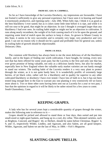Little Silver, N. J.

#### **FROM SEC. GEO. W. CAMPBELL.**

So far as I have knowledge of the Lucretia Dewberry, my impressions are favourable. I have not fruited it sufficiently to give any personal experience; but I have seen it in bearing and found it enormously productive, and ripening early—July 20th. When fully ripe, I think it is as good as the best blackberry I ever tasted; but as it colors some little time before it is ripe, and while it is still too sour to be good, that might be an objection. In size I thought it averaged larger than any blackberry I had ever seen. Its trailing habit might or might not be an objection in cultivation. It runs along nearly recumbent, the weight of its fruit causing much of it to lie upon the ground, and requiring some kind of mulch upon the surface to keep it clean. As grown in Miami County in this State, it seems to be very successful, and is certainly very large, very productive and very good. I can see no reason why it should not be a good and profitable fruit for general use, unless its trailing habit of growth should be objectionable. Delaware, Ohio.

#### **FROM J. H. HALE.**

The common wild Dewberry has always been to me the most delicious of all the blackberry family, and in the hopes of finding one worth cultivation, I have bought, for testing, every new sort that has been offered for some years past; but the Lucretia is the first and only one that has ever given promise of being valuable, not only as a delicious family berry, but also for market, especially here in New England where the valuable early market varieties are not hardy enough to stand our winters. The trailing habit of the Lucretia renders it a very easy plant to protect through the winter, as it is not quite hardy here. It is wonderfully prolific of extremely large berries, of jet black color, rather soft for a blackberry and in quality far superior to any other cultivated blackberry or dewberry I have ever tested. I have lots of faith in it, but it has not been tested long enough here in the East to warrant any one planting it very extensively till we know more about it. Two or three other sorts having been sent out as Lucretia for a year or two past, I fear that the opinions in regard to it will be likely to be rather mixed for a few years to come. South Glastonbury, Conn.

## **KEEPING GRAPES.**

—————

<span id="page-23-0"></span>A lady who has for several years kept a considerable quantity of grapes through the winter, makes the following note in reference to it:-

<span id="page-23-1"></span>Grapes should be picked and allowed to stand three or four days, then sorted and put into small-sized or eight-quart baskets, and hung up in a cool, dry cellar. Thin-skinned varieties, such as Brighton, Concord, and Rogers' 44, or Herbert, should be eaten before Christmas. Rogers' 4, 9, and 15, respectively Wilder, Lindley, and Agawam, and also Salem, are all good keepers. Wilder, Agawam, and Salem we ate the last of May, in 1884.—*Vick's Magazine.*

—————

## **SLANTING GRAPE TRELLIS.**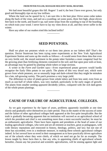#### **FROM PETER FULLER, MANAGER MOLSONS' BANK, MEAFORD.**

We had most beautiful grapes this fall. Rogers' 3 and 4, the best I have ever grown, but only good and thoroughly ripe on my low trellises.

Where the land can be spared for it, I am sure this is the best plan: Drive some cedar stakes along the back of the vines, and nail on a scantling; set some posts, three feet high, about eleven feet back to the north, and board it up; nail some strips from the scantling to top of the boarding, on which train your wood. I never have to lay my vines down at all, and they never suffer in the winter.

Have any other of our readers tried this inclined trellis?

#### **SEED POTATOES.**

—————

<span id="page-24-0"></span>Shall we plant our potatoes whole or cut them into pieces as our fathers did? That's the question. Doctor Sturtevant has been trying some experiments at the New York Agricultural Experiment Station and sums up the results as follows:—It would seem from these data that even on very fertile soil, the stored nutriment in the potato tuber furnishes a more congenial food for the growing plant than fertilizing elements contained in the soil; and that upon poor soils at least, an advantage may be gained by planting whole tubers or large sections.

A writer in the *Farm and Garden* says:—Even experienced potato growers would hardly recognize the Early Ohio potato in our patch. The plants of this very dwarf sort, which were grown from whole potatoes, are so unusually large and dark-colored that they might be mistaken for a late, tall-growing variety. The patch promises a very large yield.

The difference in color of plants grown from whole tubers and from less seed, even from as much as one-half of whole tubers, was very marked, particularly in the early stages of growth. The plants from smaller seeding appeared decidedly yellow, compared with the rich dark-green of the whole potato plantings.

—————

#### <span id="page-24-1"></span>**CAUSE OF FAILURE OF AGRICULTURAL COLLEGES.**

As we gain experience by the lapse of years, problems apparently insoluble at one time slowly and gradually solve themselves at a later period. Thus in the matter of the success of some and the failure of other agricultural colleges both appeared at the first quite inexplicable. But the truth is gradually becoming apparent that no institution will succeed as an agricultural school of which the president and chief is not something more than a mere successful teacher; he must be which the president and chief is not something more than a mere successful teacher; he must be an enthusiastic agriculturist. There have been regents and presidents at the head of some of our leading agricultural colleges, who were and are all eminent as teachers, great as pedagogues, with wide literary reputations and renowned in history, theology, politics, and law; but not one of these has succeeded, even in a moderate measure, in making these schools agricultural colleges indeed. In fact several have so erred in their management as to have practically driven agriculture out of the schools where they were chiefs, of which we need not go far for an example. The lesson taught by these facts then is, that any who, in appointing chiefs of agricultural schools hereafter, choose any but practical and scientific agriculturists, will be sinning against light and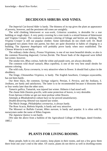## **DECIDUOUS SHRUBS AND VINES.**

—————

<span id="page-25-0"></span>The *Imperial Cut-leaved Alder* is hardy. The thinness of its top gives the plant an appearance of poverty, however, and the persistent old cones are unsightly.

The wild climbing bittersweet or wax-work, *Celastrus scandens*, is desirable for a rear building or rough object. A very pretty covering for a tree trunk is a mixed festoon of bittersweet and Virginia Creeper. The contrasts in autumn coloring of foliage and berries are striking. The *Virginia Creeper* is still our popular climber. Some individuals do not climb well. Dr. Beall propagated two plants from one parent, but they are quite dissimilar in habits of clinging to a building. The *Japanese Ampelopsis* will probably prove hardy when once established. The *Chinese Wisteria* is not hardy.

The ordinary choke cherry, *Prunus Virginiana*, is one of our most beautiful shrubs; so also is the common flowering dogwood, *Cornus florida*. The flower buds of the dogwood were killed last winter, however.

The smoke tree, *Rhus cotinus*, both the white and purple sorts, are always desirable.

The common wild dwarf sumach, *Rhus copallina*, is one of the very best small shrubs for autumn coloring.

The wild crab, *Pyrus coronaria*, is very attractive when in flower. It should find a place in the shrubbery.

The fringe, *Chionanthus Virginica*, is hardy. The English hawthorn, *Cratægus oxyacantha*, has not been hardy.

Our three lilacs, the common, *Syringa vulgaris*; Persian, *S. Persica*, and the Josikaea, *S. Josikaea*, are hardy and satisfactory. The latter is to be recommended because it blossoms three or four weeks later than the other sorts.

*Tamarix gallica*, Tamarisk, was injured last winter. Hitherto it had stood well.

The chaste little *Deutzia gracilis*, with some protection of leaves, is very desirable.

From *Spiraea triloba* we get our most profuse white flowers.

Attempts at *Rhododendron* culture have so far proved unsatisfactory.

*Double-flowering Almond* was injured last winter.

The Mock Orange, *Philadelphus coronarius*, is always hardy.

The Rose Acacia, *Robinia hispida*, is hardy and very attractive.

The Missouri or Buffalo Currant, *Ribes aureum*, is hardy and popular. It is often sold by nurserymen under the name of Ribes fragrans.

The *Japanese Quince* is not hardy.

[We take the above from a bulletin of the Agricultural College of Michigan, dated October, 1885.] —————

## **PLANTS FOR LIVING ROOMS.**

<span id="page-25-1"></span>Many people, both in city and country, keep plants in their rooms, and not a few grow them there from one year's end to the other. Of course, plants do not thrive as well in dwelling-rooms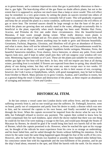as in green-houses, and a common impression exists that gas is particularly obnoxious to them that is, gas light. The heat-drying effect of the gas flame no doubt affects plants, but not to the extent that it is supposed to; anyhow not much more than a lamp or stove would. This evil effect may be remedied, to a very great extent, by setting the plants on saucers inverted into others of larger size, and keeping these large saucers constantly full of water. This will gradually evaporate and keep the air around the plants in a moist condition, sufficient to counteract the evil effects of gas or stove heat. The inverted saucers should be large enough so that the base of the pot in which the plants are growing does not actually stand in the water, although occasionally this is beneficial to the plant, especially when much drainage has been used. Maiden Hair Ferns, Acacias, and Primulas do first rate under these circumstances. Also the beautiful-leaved Marantas, if kept warm enough during winter. What really destroys room plants is mismanagement and want of light and air. Few plants will thrive long unless they have both. But where there is plenty of both, almost anything may be made to grow and blossom beautifully. Geraniums, Fuchsias, Begonias, Gloxinias, and Abutilons will all give an abundance of flowers, and what is more, these will not be infested by insects, as Roses and Chrysanthemums would be. If flowers are not an object, we would suggest Aspidistra lurida variegata, Marantas, Ferns, the beautiful Sanseveria metallica, Ficus elastica, Areca lutescens, or almost any palm. Even small Agaves look nice, and if kept in rather small pots they will not outgrow your window-sill very soon. Mentioning Agaves reminds us of Cacti. These are the plants just suitable for room-culture; neither gas light nor fire heat will hurt them. In fact, they will not require any heat at all during winter, providing frost is excluded. If flowers are expected from them in spring, they should have plenty of sun during winter, but they will not want any water except once in two weeks. Of course you do not expect these to grow during winter, as this is their season of rest, excepting, however, the Crab Cactus or Epiphyllums, which, with good management, may be had in bloom from October to March. Many persons try to grow Crotons, Azaleas, and Camellias in rooms, but as a general thing the result is failure and destruction of the plants, as these require an abundance of syringing and moisture.—*Farm and Garden.*

## **HISTORICAL ITEM.**

—————

<span id="page-26-0"></span>In the last century a vessel came into London docks with yellow fever, and the captain was suffering severely from it, and no one would go near the sufferers. Dr. Fothergill, however, went on board, partly out of compassion and partly from his desire to study a disease which was new to him, and he removed the captain to his own house, and finally succeeded in getting him through the fever. When the captain recovered he inquired from the doctor what he was in his debt, but Fothergill refused to receive any payment. The captain then wished to know how he could compensate him for such kindness, upon which the doctor replied that there was one thing he could do for him if he were making a voyage to the East, and would pass through the Straits of Macassar by Borneo, he should be glad if he would bring him back two barrels full of the earth of Borneo, which the captain promised to do. However, when he reached the spot on his voyage out, he thought of the ridicule he must experience from his crew in so strange an undertaking, and his heart failed him, and he sailed through the Straits without fulfilling his intention. On his return by the same route the same thing happened again through his fear of the scoffs of his crew. However, after he had left the Straits two hundred or possibly three hundred miles behind him, his conscience smote him with his ingratitude and the non-fulfilment of his promise, and he put the ship's head about, returned to the spot, and filled the barrels with the earth. On his return he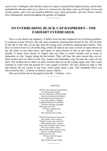sent it to Dr. Fothergill, who had the surface of a piece of ground thoroughly burned, and he then sprinkled the Borneo earth on it, when it is a known fact that there came up all kinds of new and curious plants, said to be one hundred different sorts, some geraniums, and new flowers which have subsequently spread throughout the gardens of England.

—————

## <span id="page-27-0"></span>**AN EVERBEARING BLACK-CAP RASPBERRY—THE EARHART EVERBEARER.**

This is a new black-cap raspberry. It differs from all other raspberries by its fruiting qualities. It continues to bear till frost. The old canes commence ripening their berries by the 15th of June; by the 4th of July they are all ripe; then the young canes commence ripening their berries. They bear in clusters from 6 to 18 inches long, which all ripen at one time. It bears as many berries on the old canes as any other berry, and ripens as many berries in July as any other in twelve months. It ripens more berries in August than any other in twelve months, and as many in September as July, August being the best month. They will bear the same season they are set. Hard winters have no effect on the July, August and September crop, because the canes are not there. Dry weather has no effect on them, because they are on the young, sappy cane. New canes continue to come from the ground for a new supply of berries. We have picked as high as 200 ripe berries off one cluster at one time, which made about a pint. This wonderful berry was discovered by Mrs. J. Earhart, in Mason County, Illinois.

<span id="page-27-1"></span>[We received the above description from Mr. J. Earhart.—ED.]

#### ORIGINAL.

—————

The East may boast of orange bloom, Of cypress and of laurel, And we will boast of yellow broom, And of orchards rich and floral. Eastern blooms and foliage fair, Are of the rainbow's dapple, In England blossom everywhere The pear, the plum, the apple. Then boast who will Of trees in spring array We still Have blossoms fair as they. The East may boast of citron tree, That yields so fair a flower, Of lilac's sweet scent on the lea, When freshened by a shower. They boast of lemons and of pine, We of our mellow cherry, They of their spice and juicy wine, And we our delicious berry. Then boast who will Of trees and fruit so gay, We still Have fruits as sweet as they.

—————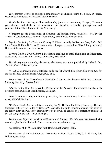## **RECENT PUBLICATIONS.**

<span id="page-28-0"></span>*The American Florist* is published semi-monthly at Chicago, terms \$1 a year, 16 pages. Devoted to the interests of florists of North America.

*The Orchard and Garden*, an illustrated monthly journal of horticulture, 16 pages, 50 cents a year, devoted exclusively to the interests of the American orchardist, grape-grower, and gardener. Little Silver, Monmouth Co. New Jersey.

*A Treatise on the Evaporation* of domestic and foreign fruits, vegetables, &c., by the American Manufacturing Company, Waynesboro, Franklin Co., Pennsylvania.

*Popular Gardening* for Town and Country. Published monthly, by Ransom, Long & Co., 202 Main Street, Buffalo, N. Y., at 60 cents a year, 16 pages, conducted by Elias A Long, author of Ornamental Gardening for Americans.

*Lovett's Guide to Fruit Culture*, a descriptive catalogue of small fruit plants and fruit trees, handsomely illustrated. J. S. Lovett, Little Silver, New Jersey.

*The Kindergarten*, a monthly devoted to elementary education, published by Selby & Co., Toronto, Ont., at 50 cents a year.

*H. S. Anderson's* semi-annual catalogue and price list of small fruit plants, fruit trees, &c., for the fall of 1885, Union Springs, Cayuga Co., N.Y.

*Transactions* of the Massachusetts Horticultural Society for the year 1885, Part I. Robert Manning, Secretary, Boston, Mass.

*Address* by the Hon. M. P. Wilder, President of the American Pomological Society, at its twentieth session, held at Grand Rapids, Michigan.

*Dreer's* autumn catalogue of bulbs, plants, &c., for sale by Henry A. Dreer, 714 Chestnut street, Philadelphia, Penn.

*Michigan Horticulturist*, published monthly by W. H. Burr Publishing Company, Detroit, Michigan, at \$1 a year. Edited by Charles W. Garfield. It is quite enough to mention the name of the editor, every one will know that whatever he does will be done as near perfection as man can do. We congratulate the State of Michigan.

*Tenth Annual Report* of the Montreal Horticultural Society, 1884. We have been favored with several copies for distribution in Ontario to any who may desire a copy.

*Proceedings* of the Western New York Horticultural Society, 1885.

*Transactions* of the Fruit Growers' Association of Nova Scotia, 1885, C. R. H. Starr, Port Williams, Secretary.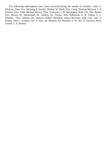The following subscriptions have been received during the month of October:—Paul G. Wickson, Peter Fox, Mensing & Stecher, Herbert W. Buell, Wm. Greig, Norman McLeod, J. H. Stanton, Alex. Gibb, Michael Brown, Thos. Treleaven, J. M. Remington, Robt. Orr, Mrs. Baxter, Geo. Mason, Dr. Macdonald, Dr. Tamlyn, Dr. Towler, Wm. Robertson, E. R. Talbot, G. L. Whitney, Thos. Jenkins, Hy. Deacon, Robert McIndoo, James McGuire, John Carr, Geo. S. Wason, John C. Gilman, Geo. E. Eby, Jas. Barnum, Ed. Macklin, E. W. Nix, A. Dawson, Revd. Towell, J. A. Watson.